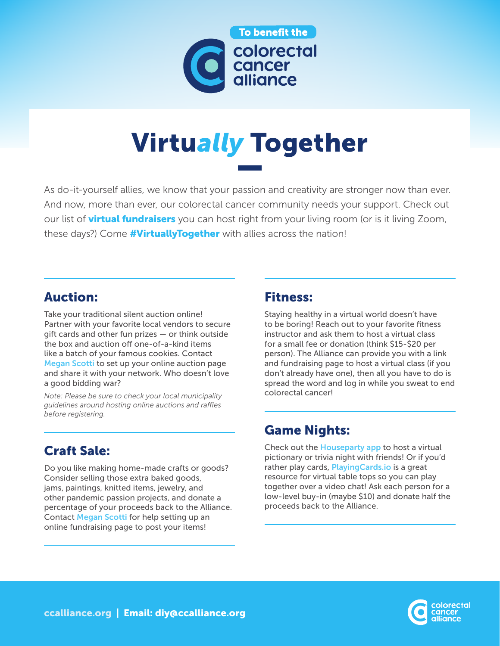

# Virtu*ally* Together

As do-it-yourself allies, we know that your passion and creativity are stronger now than ever. And now, more than ever, our colorectal cancer community needs your support. Check out our list of **virtual fundraisers** you can host right from your living room (or is it living Zoom, these days?) Come **#VirtuallyTogether** with allies across the nation!

# Auction:

Take your traditional silent auction online! Partner with your favorite local vendors to secure gift cards and other fun prizes — or think outside the box and auction off one-of-a-kind items like a batch of your famous cookies. Contact [Megan Scotti](mailto:mscotti%40ccalliance.org?subject=) to set up your online auction page and share it with your network. Who doesn't love a good bidding war?

*Note: Please be sure to check your local municipality guidelines around hosting online auctions and raffles before registering.*

# Craft Sale:

Do you like making home-made crafts or goods? Consider selling those extra baked goods, jams, paintings, knitted items, jewelry, and other pandemic passion projects, and donate a percentage of your proceeds back to the Alliance. Contact [Megan Scotti](mailto:mscotti%40ccalliance.org?subject=) for help setting up an online fundraising page to post your items!

#### Fitness:

Staying healthy in a virtual world doesn't have to be boring! Reach out to your favorite fitness instructor and ask them to host a virtual class for a small fee or donation (think \$15-\$20 per person). The Alliance can provide you with a link and fundraising page to host a virtual class (if you don't already have one), then all you have to do is spread the word and log in while you sweat to end colorectal cancer!

### Game Nights:

Check out the **[Houseparty app](https://houseparty.com/)** to host a virtual pictionary or trivia night with friends! Or if you'd rather play cards, Playing Cards.io is a great resource for virtual table tops so you can play together over a video chat! Ask each person for a low-level buy-in (maybe \$10) and donate half the proceeds back to the Alliance.